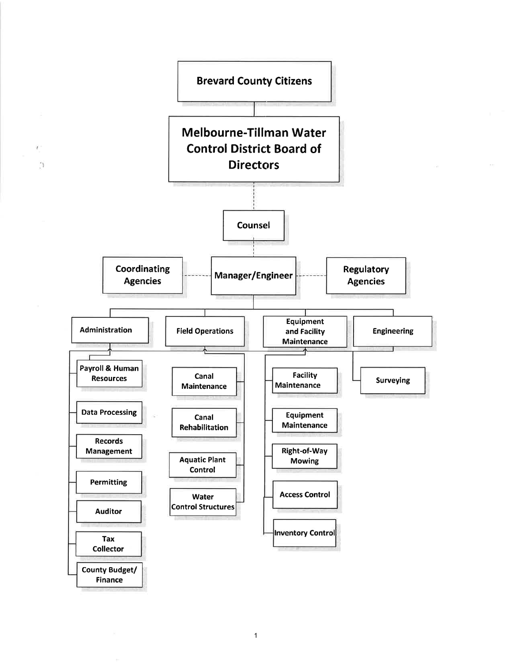

 $\boldsymbol{J}$ 

1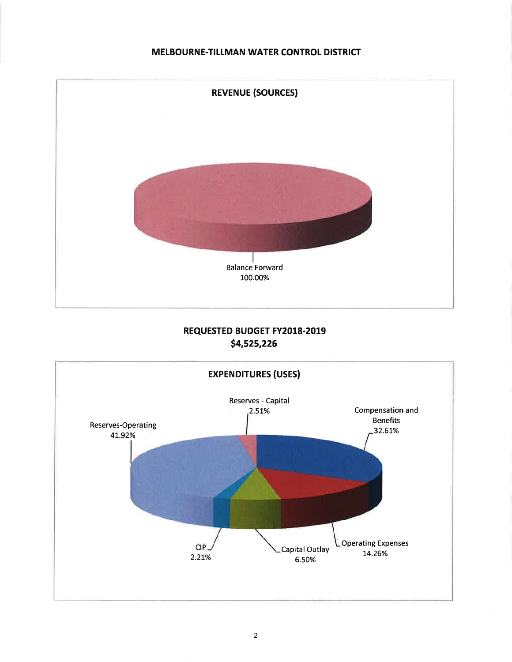### MELBOURNE-TILLMAN WATER CONTROL DISTRICT



## REQUESTED BUDGET FY2018.2019 54,525,226

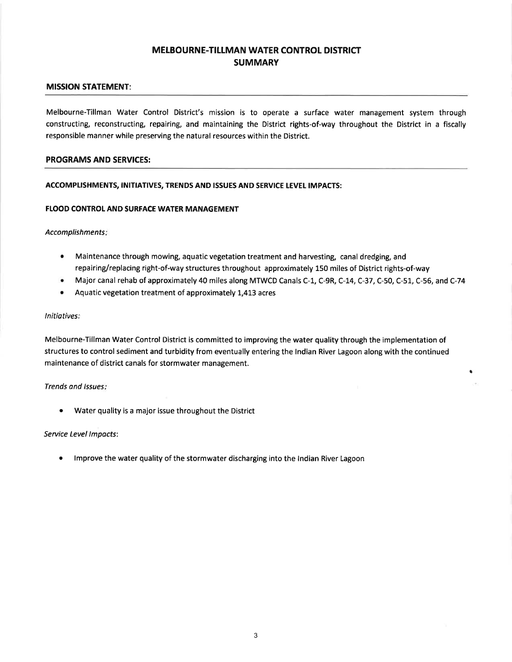## MELBOURNE-TILLMAN WATER CONTROL DISTRICT **SUMMARY**

#### MISSION STATEMENT:

Melbourne-Tillman Water Control District's mission is to operate a surface water management system through constructing, reconstructing, repairing, and maintaining the District rights-of-way throughout the District in a fiscally responsible manner while preserving the natural resources within the District.

#### PROGRAMS AND SERVICES:

#### ACCOMPLISHMENTS, INITIATIVES, TRENDS AND ISSUES AND SERVICE LEVEL IMPACTS:

#### FLOOD CONTROL AND SURFACE WATER MANAGEMENT

Accomplishments

- Maintenance through mowing, aquatic vegetation treatment and harvesting, canal dredging, and repairing/replacing right-of-way structures throughout approximately 150 miles of District rights-of-way a
- Major canal rehab of approximately 40 miles along MTWCD Canals C-1, C-gR, C-L4, C-37, C-50, C-51, C-56, and C-74  $\bullet$

t

Aquatic vegetation treatment of approximately 1,413 acres a

#### Initiatives:

Melbourne-Tillman Water Control District is committed to improving the water quality through the implementation of structures to control sediment and turbidity from eventually entering the lndian River Lagoon along with the continued maintenance of district canals for stormwater management.

Trends and Issues:

Water quality is a major issue throughout the District

#### Seruice Level lmpocts:

<sup>a</sup> lmprove the water quality of the stormwater discharging into the lndian River Lagoon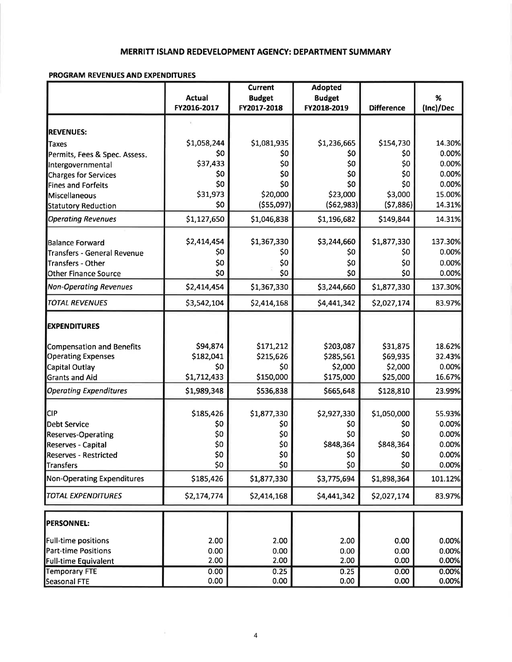### MERRITT ISLAND REDEVELOPMENT AGENCY: DEPARTMENT SUMMARY

### PROGRAM REVENUES AND EXPENDITURES

|                                   |               | <b>Current</b>     | <b>Adopted</b>     |                    |                |
|-----------------------------------|---------------|--------------------|--------------------|--------------------|----------------|
|                                   | <b>Actual</b> | <b>Budget</b>      | <b>Budget</b>      |                    | $\%$           |
|                                   | FY2016-2017   | FY2017-2018        | FY2018-2019        | <b>Difference</b>  | (Inc)/Dec      |
|                                   |               |                    |                    |                    |                |
| <b>REVENUES:</b>                  |               |                    |                    |                    |                |
| Taxes                             | \$1,058,244   | \$1,081,935        | \$1,236,665        | \$154,730          | 14.30%         |
| Permits, Fees & Spec. Assess.     | \$0           | \$0                | \$0                | \$0                | 0.00%          |
| Intergovernmental                 | \$37,433      | \$0<br>\$0         | \$0<br>\$0         | \$0<br>\$0         | 0.00%          |
| <b>Charges for Services</b>       | \$0<br>\$0    | \$0                | \$0                | \$0                | 0.00%<br>0.00% |
| <b>Fines and Forfeits</b>         | \$31,973      | \$20,000           | \$23,000           | \$3,000            | 15.00%         |
| Miscellaneous                     | \$0           |                    |                    |                    |                |
| <b>Statutory Reduction</b>        |               | ( \$55,097)        | (562, 983)         | (57,886)           | 14.31%         |
| <b>Operating Revenues</b>         | \$1,127,650   | \$1,046,838        | \$1,196,682        | \$149,844          | 14.31%         |
| Balance Forward                   | \$2,414,454   | \$1,367,330        | \$3,244,660        | \$1,877,330        | 137.30%        |
| Transfers - General Revenue       | \$0           | \$0                | \$0                | \$0                | 0.00%          |
| Transfers - Other                 | \$0           | \$0                | \$0                | \$0                | 0.00%          |
| <b>Other Finance Source</b>       | \$0           | \$0                | \$0                | \$0                | 0.00%          |
| <b>Non-Operating Revenues</b>     | \$2,414,454   | \$1,367,330        | \$3,244,660        | \$1,877,330        | 137.30%        |
| <b>TOTAL REVENUES</b>             | \$3,542,104   | \$2,414,168        | \$4,441,342        | \$2,027,174        | 83.97%         |
| <b>EXPENDITURES</b>               |               |                    |                    |                    |                |
|                                   |               |                    |                    |                    |                |
| Compensation and Benefits         | \$94,874      | \$171,212          | \$203,087          | \$31,875           | 18.62%         |
| <b>Operating Expenses</b>         | \$182,041     | \$215,626          | \$285,561          | \$69,935           | 32.43%         |
| Capital Outlay                    | \$0           | \$0                | \$2,000            | \$2,000            | 0.00%          |
| <b>Grants and Aid</b>             | \$1,712,433   | \$150,000          | \$175,000          | \$25,000           | 16.67%         |
| <b>Operating Expenditures</b>     | \$1,989,348   | \$536,838          | \$665,648          | \$128,810          | 23.99%         |
| CIP                               | \$185,426     |                    |                    |                    | 55.93%         |
| Debt Service                      | \$0           | \$1,877,330<br>\$0 | \$2,927,330<br>\$0 | \$1,050,000<br>\$0 | 0.00%          |
| <b>Reserves-Operating</b>         | \$0           | \$0                | \$0                | \$0                | 0.00%          |
| <b>Reserves - Capital</b>         | \$0           | \$0                | \$848,364          | \$848,364          | 0.00%          |
| <b>Reserves - Restricted</b>      | \$0           | \$0                | \$0                | \$0                | 0.00%          |
| Transfers                         | \$0           | \$0                | \$0                | \$0                | 0.00%          |
| <b>Non-Operating Expenditures</b> | \$185,426     | \$1,877,330        | \$3,775,694        | \$1,898,364        | 101.12%        |
| <b>TOTAL EXPENDITURES</b>         | \$2,174,774   | \$2,414,168        | \$4,441,342        | \$2,027,174        | 83.97%         |
|                                   |               |                    |                    |                    |                |
| <b>PERSONNEL:</b>                 |               |                    |                    |                    |                |
| <b>Full-time positions</b>        | 2.00          | 2.00               | 2.00               | 0.00               | 0.00%          |
| <b>Part-time Positions</b>        | 0.00          | 0.00               | 0.00               | 0.00               | 0.00%          |
| <b>Full-time Equivalent</b>       | 2.00          | 2.00               | 2.00               | 0.00               | 0.00%          |
| <b>Temporary FTE</b>              | 0.00          | 0.25               | 0.25               | 0.00               | 0.00%          |
| Seasonal FTE                      | 0.00          | 0.00               | 0.00               | 0.00               | 0.00%          |

÷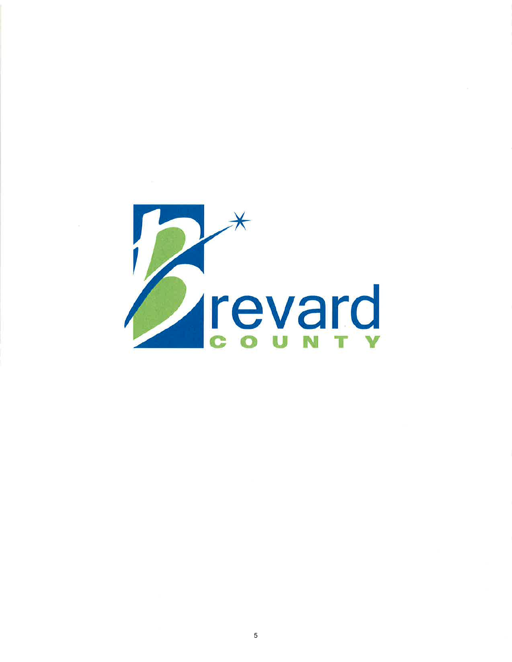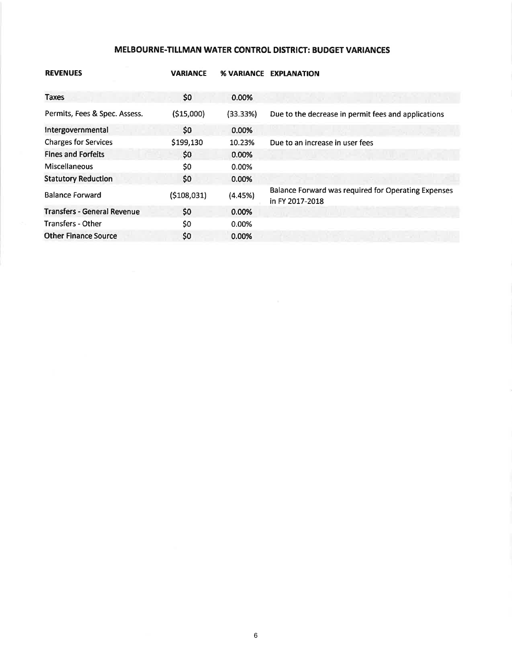### MELBOURNE-TILLMAN WATER CONTROL DISTRICT: BUDGET VARIANCES

| <b>REVENUES</b>                    | <b>VARIANCE</b> | <b>% VARIANCE</b> | <b>EXPLANATION</b>                                                     |
|------------------------------------|-----------------|-------------------|------------------------------------------------------------------------|
|                                    |                 |                   |                                                                        |
| Taxes                              | \$0             | 0.00%             |                                                                        |
| Permits, Fees & Spec. Assess.      | ( \$15,000)     | (33.33%)          | Due to the decrease in permit fees and applications                    |
| Intergovernmental                  | \$0             | 0.00%             |                                                                        |
| <b>Charges for Services</b>        | \$199,130       | 10.23%            | Due to an increase in user fees                                        |
| <b>Fines and Forfeits</b>          | \$0             | $0.00\%$          |                                                                        |
| <b>Miscellaneous</b>               | \$0             | 0.00%             |                                                                        |
| <b>Statutory Reduction</b>         | \$0             | 0.00%             |                                                                        |
| <b>Balance Forward</b>             | ( \$108,031)    | (4.45%)           | Balance Forward was required for Operating Expenses<br>in FY 2017-2018 |
| <b>Transfers - General Revenue</b> | \$0             | 0.00%             |                                                                        |
| <b>Transfers - Other</b>           | \$0             | 0.00%             |                                                                        |
| <b>Other Finance Source</b>        | \$0             | 0.00%             |                                                                        |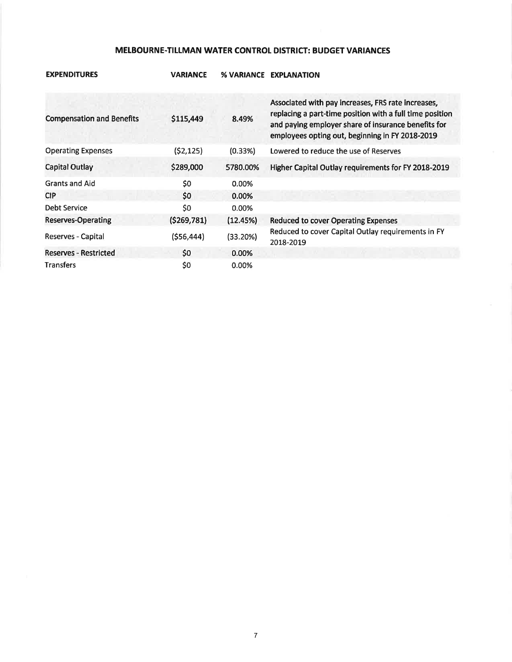### MELBOURNE-TILLMAN WATER CONTROL DISTRICT: BUDGET VARIANCES

| <b>Compensation and Benefits</b> | \$115,449   | 8.49%    | Associated with pay increases, FRS rate increases,<br>replacing a part-time position with a full time position<br>and paying employer share of insurance benefits for<br>employees opting out, beginning in FY 2018-2019 |
|----------------------------------|-------------|----------|--------------------------------------------------------------------------------------------------------------------------------------------------------------------------------------------------------------------------|
| <b>Operating Expenses</b>        | (52, 125)   | (0.33%)  | Lowered to reduce the use of Reserves                                                                                                                                                                                    |
| Capital Outlay                   | \$289,000   | 5780.00% | Higher Capital Outlay requirements for FY 2018-2019                                                                                                                                                                      |
| <b>Grants and Aid</b>            | \$0         | 0.00%    |                                                                                                                                                                                                                          |
| <b>CIP</b>                       | \$0         | 0.00%    |                                                                                                                                                                                                                          |
| Debt Service                     | \$0         | 0.00%    |                                                                                                                                                                                                                          |
| Reserves-Operating               | (5269, 781) | (12.45%) | <b>Reduced to cover Operating Expenses</b>                                                                                                                                                                               |
| Reserves - Capital               | (556, 444)  | (33.20%) | Reduced to cover Capital Outlay requirements in FY<br>2018-2019                                                                                                                                                          |
| <b>Reserves - Restricted</b>     | \$0         | 0.00%    |                                                                                                                                                                                                                          |
| <b>Transfers</b>                 | \$0         | 0.00%    |                                                                                                                                                                                                                          |

### **EXPENDITURES**

**VARIANCE % VARIANCE EXPLANATION**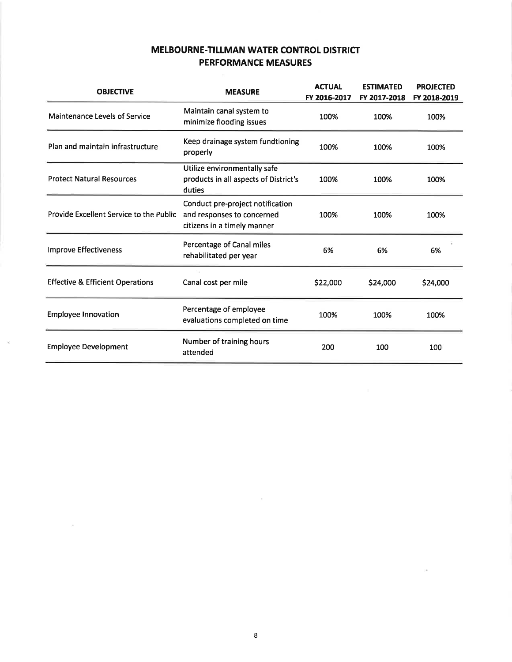# MELBOURNE.TILLMAN WATER CONTROL DISTRICT PERFORMANCE MEASURES

| <b>OBJECTIVE</b>                            | <b>MEASURE</b>                                                                                | <b>ACTUAL</b><br>FY 2016-2017 | <b>ESTIMATED</b><br>FY 2017-2018 | <b>PROJECTED</b><br>FY 2018-2019 |
|---------------------------------------------|-----------------------------------------------------------------------------------------------|-------------------------------|----------------------------------|----------------------------------|
| Maintenance Levels of Service               | Maintain canal system to<br>minimize flooding issues                                          | 100%                          | 100%                             | 100%                             |
| Plan and maintain infrastructure            | Keep drainage system fundtioning<br>properly                                                  | 100%                          | 100%                             | 100%                             |
| <b>Protect Natural Resources</b>            | Utilize environmentally safe<br>products in all aspects of District's<br>duties               | 100%                          | 100%                             | 100%                             |
| Provide Excellent Service to the Public     | Conduct pre-project notification<br>and responses to concerned<br>citizens in a timely manner | 100%                          | 100%                             | 100%                             |
| <b>Improve Effectiveness</b>                | Percentage of Canal miles<br>rehabilitated per year                                           | 6%                            | 6%                               | 6%                               |
| <b>Effective &amp; Efficient Operations</b> | Canal cost per mile                                                                           | \$22,000                      | \$24,000                         | \$24,000                         |
| <b>Employee Innovation</b>                  | Percentage of employee<br>evaluations completed on time                                       | 100%                          | 100%                             | 100%                             |
| <b>Employee Development</b>                 | Number of training hours<br>attended                                                          | 200                           | 100                              | 100                              |

 $\mathbf{r}$ 

 $\sim$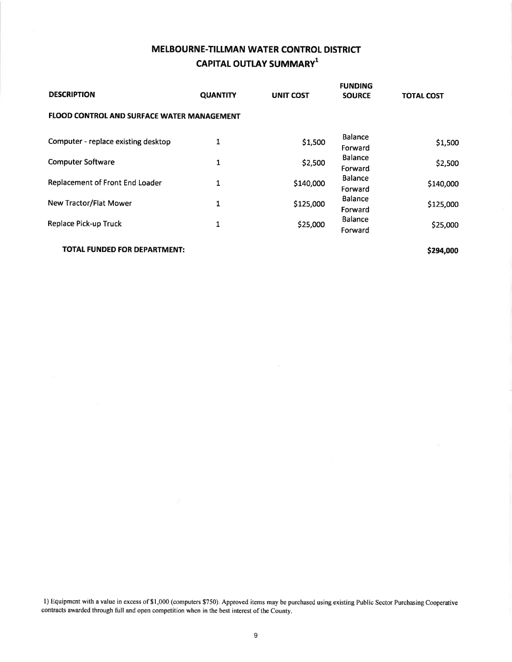# MELBOURNE.TILLMAN WATER CONTROL DISTRICT CAPITAL OUTLAY SUMMARY<sup>1</sup>

| <b>DESCRIPTION</b>                                | <b>QUANTITY</b> | <b>UNIT COST</b> | <b>FUNDING</b><br><b>SOURCE</b>                        | <b>TOTAL COST</b> |
|---------------------------------------------------|-----------------|------------------|--------------------------------------------------------|-------------------|
| <b>FLOOD CONTROL AND SURFACE WATER MANAGEMENT</b> |                 |                  |                                                        |                   |
| Computer - replace existing desktop               | 1               | \$1,500          | <b>Balance</b><br>Forward                              | \$1,500           |
| <b>Computer Software</b>                          | 1               | \$2,500          | <b>Balance</b><br>Forward<br><b>Balance</b><br>Forward | \$2,500           |
| Replacement of Front End Loader                   | 1               | \$140,000        |                                                        | \$140,000         |
| New Tractor/Flat Mower                            | 1               | \$125,000        | <b>Balance</b><br>Forward                              | \$125,000         |
| <b>Replace Pick-up Truck</b>                      | 1               | \$25,000         | <b>Balance</b><br>Forward                              | \$25,000          |

TOTAL FUNDED FOR DEPARTMENT:

\$294,000

l) Equipment with a value in excess of\$1,000 (computers \$750). Approved items may be purchased using existing Public Sector Purchasing Cooperative contracts awarded through full and open competition when in the best interest of the County.